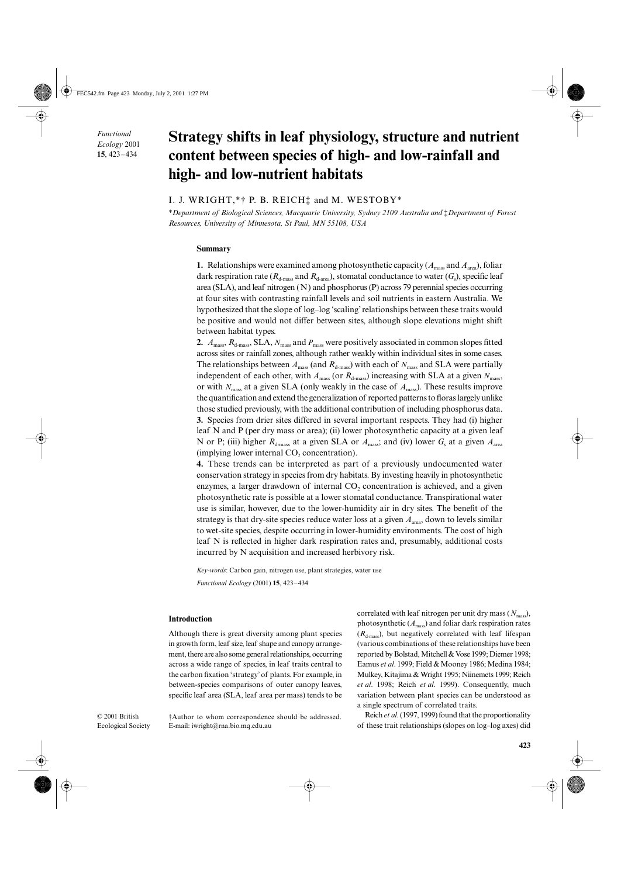*Functional Ecology* 2001 **15**, 423–434

# **Strategy shifts in leaf physiology, structure and nutrient content between species of high- and low-rainfall and high- and low-nutrient habitats**

## I. J. WRIGHT,\*† P. B. REICH‡ and M. WESTOBY\*

\**Department of Biological Sciences, Macquarie University, Sydney 2109 Australia and* ‡*Department of Forest Resources, University of Minnesota, St Paul, MN 55108, USA*

#### **Summary**

**1.** Relationships were examined among photosynthetic capacity ( $A_{\text{mass}}$  and  $A_{\text{area}}$ ), foliar dark respiration rate ( $R_{d\text{-mass}}$  and  $R_{d\text{-area}}$ ), stomatal conductance to water ( $G_s$ ), specific leaf area (SLA), and leaf nitrogen (N) and phosphorus (P) across 79 perennial species occurring at four sites with contrasting rainfall levels and soil nutrients in eastern Australia. We hypothesized that the slope of log–log 'scaling' relationships between these traits would be positive and would not differ between sites, although slope elevations might shift between habitat types.

**2.**  $A_{\text{mass}}$ ,  $R_{\text{d-mass}}$ , SLA,  $N_{\text{mass}}$  and  $P_{\text{mass}}$  were positively associated in common slopes fitted across sites or rainfall zones, although rather weakly within individual sites in some cases. The relationships between  $A_{\text{mass}}$  (and  $R_{\text{d-mass}}$ ) with each of  $N_{\text{mass}}$  and SLA were partially independent of each other, with  $A_{\text{mass}}$  (or  $R_{\text{d-mass}}$ ) increasing with SLA at a given  $N_{\text{mass}}$ , or with *N*mass at a given SLA (only weakly in the case of *A*mass). These results improve the quantification and extend the generalization of reported patterns to floras largely unlike those studied previously, with the additional contribution of including phosphorus data. **3.** Species from drier sites differed in several important respects. They had (i) higher leaf N and P (per dry mass or area); (ii) lower photosynthetic capacity at a given leaf N or P; (iii) higher  $R_{d\text{-mass}}$  at a given SLA or  $A_{\text{mass}}$ ; and (iv) lower  $G_s$  at a given  $A_{\text{area}}$ (implying lower internal  $CO<sub>2</sub>$  concentration).

**4.** These trends can be interpreted as part of a previously undocumented water conservation strategy in species from dry habitats. By investing heavily in photosynthetic enzymes, a larger drawdown of internal CO<sub>2</sub> concentration is achieved, and a given photosynthetic rate is possible at a lower stomatal conductance. Transpirational water use is similar, however, due to the lower-humidity air in dry sites. The benefit of the strategy is that dry-site species reduce water loss at a given *A*area, down to levels similar to wet-site species, despite occurring in lower-humidity environments. The cost of high leaf N is reflected in higher dark respiration rates and, presumably, additional costs incurred by N acquisition and increased herbivory risk.

*Key-words*: Carbon gain, nitrogen use, plant strategies, water use *Functional Ecology* (2001) **15**, 423–434

#### **Introduction**

Although there is great diversity among plant species in growth form, leaf size, leaf shape and canopy arrangement, there are also some general relationships, occurring across a wide range of species, in leaf traits central to the carbon fixation 'strategy' of plants. For example, in between-species comparisons of outer canopy leaves, specific leaf area (SLA, leaf area per mass) tends to be correlated with leaf nitrogen per unit dry mass ( $N_{\text{mass}}$ ), photosynthetic  $(A<sub>mass</sub>)$  and foliar dark respiration rates  $(R<sub>d-mass</sub>)$ , but negatively correlated with leaf lifespan (various combinations of these relationships have been reported by Bolstad, Mitchell & Vose 1999; Diemer 1998; Eamus *et al*. 1999; Field & Mooney 1986; Medina 1984; Mulkey, Kitajima & Wright 1995; Niinemets 1999; Reich *et al*. 1998; Reich *et al*. 1999). Consequently, much variation between plant species can be understood as a single spectrum of correlated traits.

© 2001 British Ecological Society †Author to whom correspondence should be addressed. E-mail: iwright@rna.bio.mq.edu.au

Reich *et al*. (1997, 1999) found that the proportionality of these trait relationships (slopes on log–log axes) did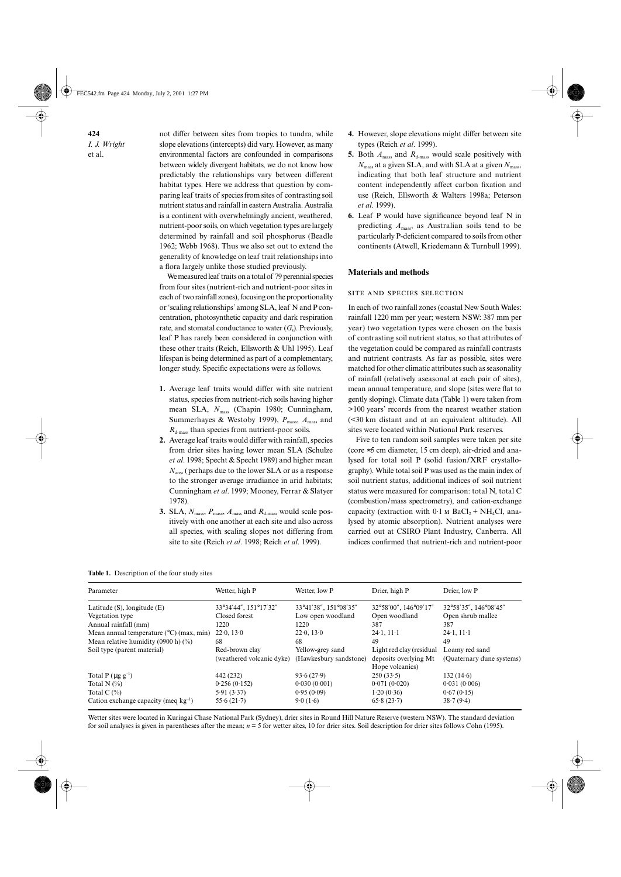**424** *I. J. Wright*  et al.

not differ between sites from tropics to tundra, while slope elevations (intercepts) did vary. However, as many environmental factors are confounded in comparisons between widely divergent habitats, we do not know how predictably the relationships vary between different habitat types. Here we address that question by comparing leaf traits of species from sites of contrasting soil nutrient status and rainfall in eastern Australia. Australia is a continent with overwhelmingly ancient, weathered, nutrient-poor soils, on which vegetation types are largely determined by rainfall and soil phosphorus (Beadle 1962; Webb 1968). Thus we also set out to extend the generality of knowledge on leaf trait relationships into a flora largely unlike those studied previously.

We measured leaf traits on a total of 79 perennial species from four sites (nutrient-rich and nutrient-poor sites in each of two rainfall zones), focusing on the proportionality or 'scaling relationships' among SLA, leaf N and P concentration, photosynthetic capacity and dark respiration rate, and stomatal conductance to water  $(G_s)$ . Previously, leaf P has rarely been considered in conjunction with these other traits (Reich, Ellsworth & Uhl 1995). Leaf lifespan is being determined as part of a complementary, longer study. Specific expectations were as follows.

- **1.** Average leaf traits would differ with site nutrient status, species from nutrient-rich soils having higher mean SLA,  $N_{\text{mass}}$  (Chapin 1980; Cunningham, Summerhayes & Westoby 1999),  $P_{\text{mass}}$ ,  $A_{\text{mass}}$  and  $R_{d\text{-mass}}$  than species from nutrient-poor soils.
- **2.** Average leaf traits would differ with rainfall, species from drier sites having lower mean SLA (Schulze *et al*. 1998; Specht & Specht 1989) and higher mean *N*area (perhaps due to the lower SLA or as a response to the stronger average irradiance in arid habitats; Cunningham *et al*. 1999; Mooney, Ferrar & Slatyer 1978).
- **3.** SLA,  $N_{\text{mass}}$ ,  $P_{\text{mass}}$ ,  $A_{\text{mass}}$  and  $R_{\text{d-mass}}$  would scale positively with one another at each site and also across all species, with scaling slopes not differing from site to site (Reich *et al*. 1998; Reich *et al*. 1999).
- **4.** However, slope elevations might differ between site types (Reich *et al*. 1999).
- **5.** Both  $A_{\text{mass}}$  and  $R_{\text{d-mass}}$  would scale positively with *N*mass at a given SLA, and with SLA at a given *N*mass, indicating that both leaf structure and nutrient content independently affect carbon fixation and use (Reich, Ellsworth & Walters 1998a; Peterson *et al*. 1999).
- **6.** Leaf P would have significance beyond leaf N in predicting *A*mass, as Australian soils tend to be particularly P-deficient compared to soils from other continents (Atwell, Kriedemann & Turnbull 1999).

## **Materials and methods**

## SITE AND SPECIES SELECTION

In each of two rainfall zones (coastal New South Wales: rainfall 1220 mm per year; western NSW: 387 mm per year) two vegetation types were chosen on the basis of contrasting soil nutrient status, so that attributes of the vegetation could be compared as rainfall contrasts and nutrient contrasts. As far as possible, sites were matched for other climatic attributes such as seasonality of rainfall (relatively aseasonal at each pair of sites), mean annual temperature, and slope (sites were flat to gently sloping). Climate data (Table 1) were taken from >100 years' records from the nearest weather station (<30 km distant and at an equivalent altitude). All sites were located within National Park reserves.

Five to ten random soil samples were taken per site (core ≈5 cm diameter, 15 cm deep), air-dried and analysed for total soil P (solid fusion/XRF crystallography). While total soil P was used as the main index of soil nutrient status, additional indices of soil nutrient status were measured for comparison: total N, total C (combustion/mass spectrometry), and cation-exchange capacity (extraction with  $0.1$  M BaCl<sub>2</sub> + NH<sub>4</sub>Cl, analysed by atomic absorption). Nutrient analyses were carried out at CSIRO Plant Industry, Canberra. All indices confirmed that nutrient-rich and nutrient-poor

|  |  | Table 1. Description of the four study sites |  |  |  |  |
|--|--|----------------------------------------------|--|--|--|--|
|--|--|----------------------------------------------|--|--|--|--|

| Parameter                                        | Wetter, high P              | Wetter, low P          | Drier, high P                            | Drier, low P              |
|--------------------------------------------------|-----------------------------|------------------------|------------------------------------------|---------------------------|
| Latitude $(S)$ , longitude $(E)$                 | 33°34'44", 151°17'32"       | 33°41'38", 151°08'35"  | 32°58'00", 146°09'17"                    | 32°58'35", 146°08'45"     |
| Vegetation type                                  | Closed forest               | Low open woodland      | Open woodland                            | Open shrub mallee         |
| Annual rainfall (mm)                             | 1220                        | 1220                   | 387                                      | 387                       |
| Mean annual temperature $(^{\circ}C)$ (max, min) | $22 \cdot 0$ , 13 $\cdot 0$ | 22.0, 13.0             | $24.1$ , $11.1$                          | $24.1$ , $11.1$           |
| Mean relative humidity (0900 h) $(\%)$           | 68                          | 68                     | 49                                       | 49                        |
| Soil type (parent material)                      | Red-brown clay              | Yellow-grey sand       | Light red clay (residual                 | Loamy red sand            |
|                                                  | (weathered volcanic dyke)   | (Hawkesbury sandstone) | deposits overlying Mt<br>Hope volcanics) | (Quaternary dune systems) |
| Total P $(\mu g g^{-1})$                         | 442 (232)                   | 93.6(27.9)             | 250(33.5)                                | 132(14.6)                 |
| Total N $(\%)$                                   | 0.256(0.152)                | 0.030(0.001)           | 0.071(0.020)                             | 0.031(0.006)              |
| Total C $(\%)$                                   | 5.91(3.37)                  | 0.95(0.09)             | 1.20(0.36)                               | 0.67(0.15)                |
| Cation exchange capacity (meq $kg^{-1}$ )        | 55.6 $(21.7)$               | 9.0(1.6)               | 65.8(23.7)                               | 38.7(9.4)                 |

Wetter sites were located in Kuringai Chase National Park (Sydney), drier sites in Round Hill Nature Reserve (western NSW). The standard deviation for soil analyses is given in parentheses after the mean; *n* = 5 for wetter sites, 10 for drier sites. Soil description for drier sites follows Cohn (1995).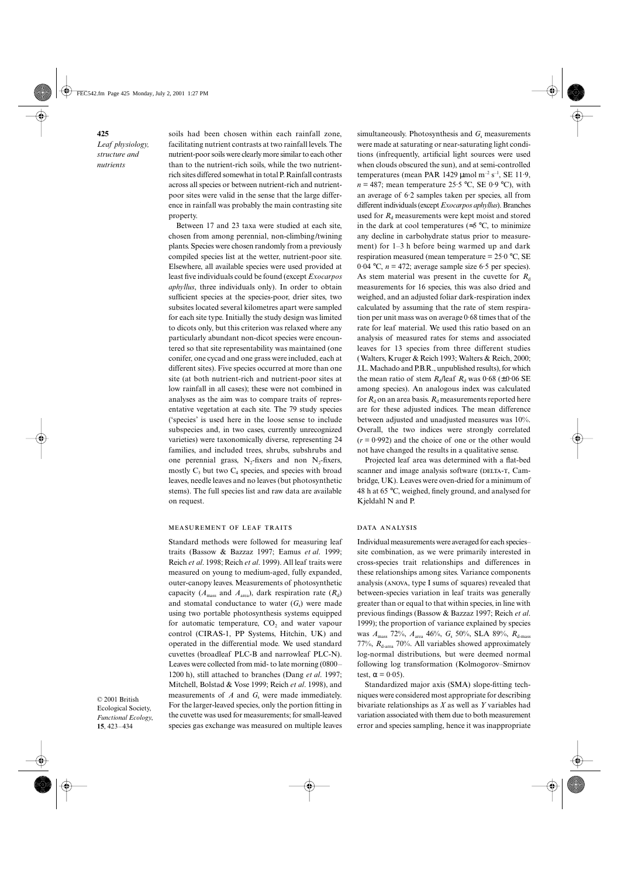soils had been chosen within each rainfall zone, facilitating nutrient contrasts at two rainfall levels. The nutrient-poor soils were clearly more similar to each other than to the nutrient-rich soils, while the two nutrientrich sites differed somewhat in total P. Rainfall contrasts across all species or between nutrient-rich and nutrientpoor sites were valid in the sense that the large difference in rainfall was probably the main contrasting site property.

Between 17 and 23 taxa were studied at each site, chosen from among perennial, non-climbing/twining plants. Species were chosen randomly from a previously compiled species list at the wetter, nutrient-poor site. Elsewhere, all available species were used provided at least five individuals could be found (except *Exocarpos aphyllus*, three individuals only). In order to obtain sufficient species at the species-poor, drier sites, two subsites located several kilometres apart were sampled for each site type. Initially the study design was limited to dicots only, but this criterion was relaxed where any particularly abundant non-dicot species were encountered so that site representability was maintained (one conifer, one cycad and one grass were included, each at different sites). Five species occurred at more than one site (at both nutrient-rich and nutrient-poor sites at low rainfall in all cases); these were not combined in analyses as the aim was to compare traits of representative vegetation at each site. The 79 study species ('species' is used here in the loose sense to include subspecies and, in two cases, currently unrecognized varieties) were taxonomically diverse, representing 24 families, and included trees, shrubs, subshrubs and one perennial grass,  $N_2$ -fixers and non  $N_2$ -fixers, mostly  $C_3$  but two  $C_4$  species, and species with broad leaves, needle leaves and no leaves (but photosynthetic stems). The full species list and raw data are available on request.

#### MEASUREMENT OF LEAF TRAITS

Standard methods were followed for measuring leaf traits (Bassow & Bazzaz 1997; Eamus *et al*. 1999; Reich *et al*. 1998; Reich *et al*. 1999). All leaf traits were measured on young to medium-aged, fully expanded, outer-canopy leaves. Measurements of photosynthetic capacity ( $A_{\text{mass}}$  and  $A_{\text{area}}$ ), dark respiration rate ( $R_d$ ) and stomatal conductance to water  $(G_s)$  were made using two portable photosynthesis systems equipped for automatic temperature,  $CO<sub>2</sub>$  and water vapour control (CIRAS-1, PP Systems, Hitchin, UK) and operated in the differential mode. We used standard cuvettes (broadleaf PLC-B and narrowleaf PLC-N). Leaves were collected from mid- to late morning (0800– 1200 h), still attached to branches (Dang *et al*. 1997; Mitchell, Bolstad & Vose 1999; Reich *et al*. 1998), and measurements of  $A$  and  $G_s$  were made immediately. For the larger-leaved species, only the portion fitting in the cuvette was used for measurements; for small-leaved species gas exchange was measured on multiple leaves

© 2001 British Ecological Society, *Functional Ecology*, **15**, 423–434

simultaneously. Photosynthesis and  $G_s$  measurements were made at saturating or near-saturating light conditions (infrequently, artificial light sources were used when clouds obscured the sun), and at semi-controlled temperatures (mean PAR 1429  $\mu$ mol m<sup>-2</sup> s<sup>-1</sup>, SE 11.9,  $n = 487$ ; mean temperature 25.5 °C, SE 0.9 °C), with an average of 6·2 samples taken per species, all from different individuals (except *Exocarpos aphyllus*). Branches used for  $R_d$  measurements were kept moist and stored in the dark at cool temperatures ( $\approx$ 5 °C, to minimize any decline in carbohydrate status prior to measurement) for 1–3 h before being warmed up and dark respiration measured (mean temperature  $= 25.0 \degree C$ , SE 0.04 °C,  $n = 472$ ; average sample size 6.5 per species). As stem material was present in the cuvette for  $R_d$ measurements for 16 species, this was also dried and weighed, and an adjusted foliar dark-respiration index calculated by assuming that the rate of stem respiration per unit mass was on average 0·68 times that of the rate for leaf material. We used this ratio based on an analysis of measured rates for stems and associated leaves for 13 species from three different studies (Walters, Kruger & Reich 1993; Walters & Reich, 2000; J.L. Machado and P.B.R., unpublished results), for which the mean ratio of stem  $R_d$ /leaf  $R_d$  was 0·68 (±0·06 SE among species). An analogous index was calculated for  $R_d$  on an area basis.  $R_d$  measurements reported here are for these adjusted indices. The mean difference between adjusted and unadjusted measures was 10%. Overall, the two indices were strongly correlated  $(r = 0.992)$  and the choice of one or the other would not have changed the results in a qualitative sense.

Projected leaf area was determined with a flat-bed scanner and image analysis software (DELTA-T, Cambridge, UK). Leaves were oven-dried for a minimum of 48 h at 65 °C, weighed, finely ground, and analysed for Kjeldahl N and P.

#### DATA ANALYSIS

Individual measurements were averaged for each species– site combination, as we were primarily interested in cross-species trait relationships and differences in these relationships among sites. Variance components analysis (ANOVA, type I sums of squares) revealed that between-species variation in leaf traits was generally greater than or equal to that within species, in line with previous findings (Bassow & Bazzaz 1997; Reich *et al*. 1999); the proportion of variance explained by species was *A*mass 72%, *A*area 46%, *G*s 50%, SLA 89%, *R*d-mass 77%,  $R_{d\text{-area}}$  70%. All variables showed approximately log-normal distributions, but were deemed normal following log transformation (Kolmogorov–Smirnov test,  $\alpha = 0.05$ ).

Standardized major axis (SMA) slope-fitting techniques were considered most appropriate for describing bivariate relationships as *X* as well as *Y* variables had variation associated with them due to both measurement error and species sampling, hence it was inappropriate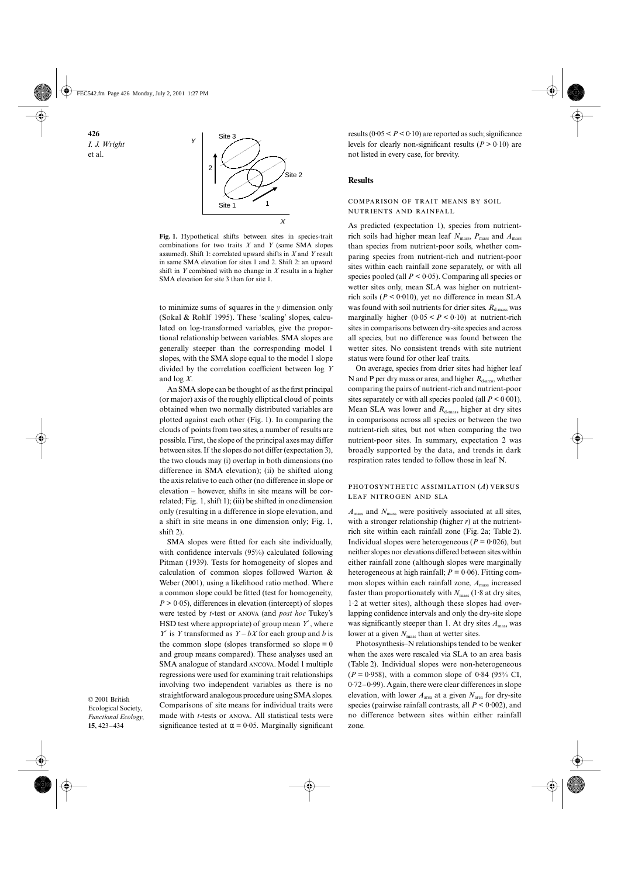

**Fig. 1.** Hypothetical shifts between sites in species-trait combinations for two traits *X* and *Y* (same SMA slopes assumed). Shift 1: correlated upward shifts in *X* and *Y* result in same SMA elevation for sites 1 and 2. Shift 2: an upward shift in *Y* combined with no change in *X* results in a higher SMA elevation for site 3 than for site 1.

to minimize sums of squares in the *y* dimension only (Sokal & Rohlf 1995). These 'scaling' slopes, calculated on log-transformed variables, give the proportional relationship between variables. SMA slopes are generally steeper than the corresponding model 1 slopes, with the SMA slope equal to the model 1 slope divided by the correlation coefficient between log *Y* and log *X*.

An SMA slope can be thought of as the first principal (or major) axis of the roughly elliptical cloud of points obtained when two normally distributed variables are plotted against each other (Fig. 1). In comparing the clouds of points from two sites, a number of results are possible. First, the slope of the principal axes may differ between sites. If the slopes do not differ (expectation 3), the two clouds may (i) overlap in both dimensions (no difference in SMA elevation); (ii) be shifted along the axis relative to each other (no difference in slope or elevation – however, shifts in site means will be correlated; Fig. 1, shift 1); (iii) be shifted in one dimension only (resulting in a difference in slope elevation, and a shift in site means in one dimension only; Fig. 1, shift 2).

SMA slopes were fitted for each site individually, with confidence intervals (95%) calculated following Pitman (1939). Tests for homogeneity of slopes and calculation of common slopes followed Warton & Weber (2001), using a likelihood ratio method. Where a common slope could be fitted (test for homogeneity,  $P > 0.05$ ), differences in elevation (intercept) of slopes were tested by *t*-test or ANOVA (and *post hoc* Tukey's HSD test where appropriate) of group mean *Y*′, where *Y*′ is *Y* transformed as *Y* – *bX* for each group and *b* is the common slope (slopes transformed so slope  $= 0$ and group means compared). These analyses used an SMA analogue of standard ANCOVA. Model 1 multiple regressions were used for examining trait relationships involving two independent variables as there is no straightforward analogous procedure using SMA slopes. Comparisons of site means for individual traits were made with *t*-tests or ANOVA. All statistical tests were significance tested at  $\alpha = 0.05$ . Marginally significant

© 2001 British Ecological Society, *Functional Ecology*, **15**, 423–434

results  $(0.05 < P < 0.10)$  are reported as such; significance levels for clearly non-significant results  $(P > 0.10)$  are not listed in every case, for brevity.

#### **Results**

## COMPARISON OF TRAIT MEANS BY SOIL NUTRIENTS AND RAINFALL

As predicted (expectation 1), species from nutrientrich soils had higher mean leaf  $N_{\text{mass}}$ ,  $P_{\text{mass}}$  and  $A_{\text{mass}}$ than species from nutrient-poor soils, whether comparing species from nutrient-rich and nutrient-poor sites within each rainfall zone separately, or with all species pooled (all  $P \le 0.05$ ). Comparing all species or wetter sites only, mean SLA was higher on nutrientrich soils  $(P < 0.010)$ , yet no difference in mean SLA was found with soil nutrients for drier sites.  $R_{d\text{-mass}}$  was marginally higher  $(0.05 < P < 0.10)$  at nutrient-rich sites in comparisons between dry-site species and across all species, but no difference was found between the wetter sites. No consistent trends with site nutrient status were found for other leaf traits.

On average, species from drier sites had higher leaf N and P per dry mass or area, and higher  $R_{d\text{-area}}$ , whether comparing the pairs of nutrient-rich and nutrient-poor sites separately or with all species pooled (all  $P < 0.001$ ). Mean SLA was lower and  $R_{\text{d-mass}}$  higher at dry sites in comparisons across all species or between the two nutrient-rich sites, but not when comparing the two nutrient-poor sites. In summary, expectation 2 was broadly supported by the data, and trends in dark respiration rates tended to follow those in leaf N.

## PHOTOSYNTHETIC ASSIMILATION (A) VERSUS LEAF NITROGEN AND SLA

*A*mass and *N*mass were positively associated at all sites, with a stronger relationship (higher *r*) at the nutrientrich site within each rainfall zone (Fig. 2a; Table 2). Individual slopes were heterogeneous ( $P = 0.026$ ), but neither slopes nor elevations differed between sites within either rainfall zone (although slopes were marginally heterogeneous at high rainfall;  $P = 0.06$ ). Fitting common slopes within each rainfall zone,  $A_{\text{mass}}$  increased faster than proportionately with  $N_{\text{mass}}$  (1.8 at dry sites, 1·2 at wetter sites), although these slopes had overlapping confidence intervals and only the dry-site slope was significantly steeper than 1. At dry sites  $A_{\text{mass}}$  was lower at a given  $N_{\text{mass}}$  than at wetter sites.

Photosynthesis–N relationships tended to be weaker when the axes were rescaled via SLA to an area basis (Table 2). Individual slopes were non-heterogeneous  $(P = 0.958)$ , with a common slope of 0.84 (95% CI, 0·72–0·99). Again, there were clear differences in slope elevation, with lower  $A_{\text{area}}$  at a given  $N_{\text{area}}$  for dry-site species (pairwise rainfall contrasts, all *P* < 0·002), and no difference between sites within either rainfall zone.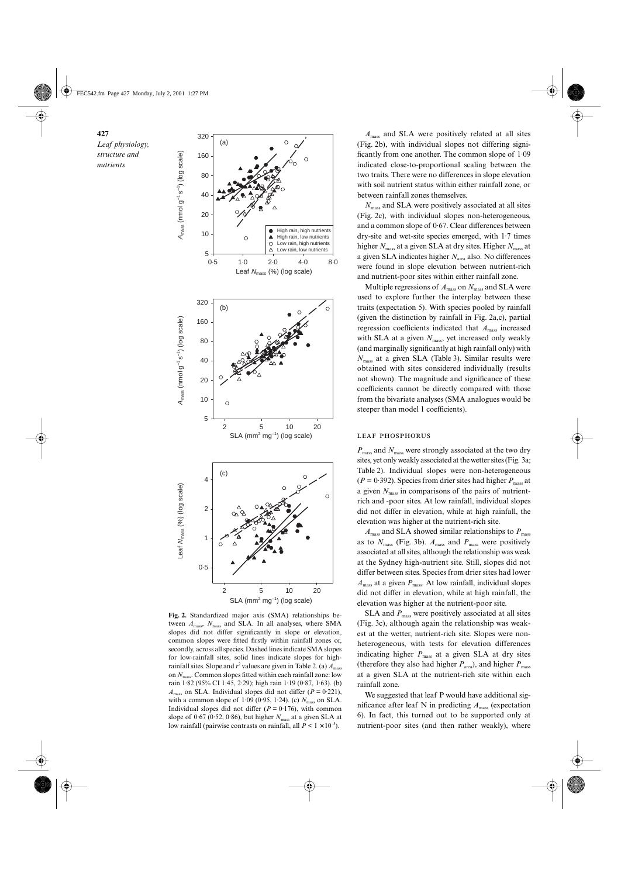

**Fig. 2.** Standardized major axis (SMA) relationships between  $A_{\text{mass}}$ ,  $N_{\text{mass}}$  and SLA. In all analyses, where SMA slopes did not differ significantly in slope or elevation, common slopes were fitted firstly within rainfall zones or, secondly, across all species. Dashed lines indicate SMA slopes for low-rainfall sites, solid lines indicate slopes for highrainfall sites. Slope and  $r^2$  values are given in Table 2. (a)  $A_{\text{mass}}$ on *N*mass. Common slopes fitted within each rainfall zone: low rain 1·82 (95% CI 1·45, 2·29); high rain 1·19 (0·87, 1·63). (b)  $A<sub>mass</sub>$  on SLA. Individual slopes did not differ ( $P = 0.221$ ), with a common slope of 1.09 (0.95, 1.24). (c)  $N_{\text{mass}}$  on SLA. Individual slopes did not differ  $(P = 0.176)$ , with common slope of  $0.67$  ( $0.52$ ,  $0.86$ ), but higher  $N<sub>mass</sub>$  at a given SLA at low rainfall (pairwise contrasts on rainfall, all  $P \leq 1 \times 10^{-5}$ ).

*A*mass and SLA were positively related at all sites (Fig. 2b), with individual slopes not differing significantly from one another. The common slope of 1·09 indicated close-to-proportional scaling between the two traits. There were no differences in slope elevation with soil nutrient status within either rainfall zone, or between rainfall zones themselves.

*N*mass and SLA were positively associated at all sites (Fig. 2c), with individual slopes non-heterogeneous, and a common slope of 0·67. Clear differences between dry-site and wet-site species emerged, with 1·7 times higher  $N_{\text{mass}}$  at a given SLA at dry sites. Higher  $N_{\text{mass}}$  at a given SLA indicates higher  $N<sub>area</sub>$  also. No differences were found in slope elevation between nutrient-rich and nutrient-poor sites within either rainfall zone.

Multiple regressions of  $A_{\text{mass}}$  on  $N_{\text{mass}}$  and SLA were used to explore further the interplay between these traits (expectation 5). With species pooled by rainfall (given the distinction by rainfall in Fig. 2a,c), partial regression coefficients indicated that *A*mass increased with SLA at a given  $N_{\text{mass}}$ , yet increased only weakly (and marginally significantly at high rainfall only) with *N*mass at a given SLA (Table 3). Similar results were obtained with sites considered individually (results not shown). The magnitude and significance of these coefficients cannot be directly compared with those from the bivariate analyses (SMA analogues would be steeper than model 1 coefficients).

#### **LEAF PHOSPHORUS**

*P*mass and *N*mass were strongly associated at the two dry sites, yet only weakly associated at the wetter sites (Fig. 3a; Table 2). Individual slopes were non-heterogeneous  $(P = 0.392)$ . Species from drier sites had higher  $P_{\text{mass}}$  at a given *N*mass in comparisons of the pairs of nutrientrich and -poor sites. At low rainfall, individual slopes did not differ in elevation, while at high rainfall, the elevation was higher at the nutrient-rich site.

 $A_{\text{mass}}$  and SLA showed similar relationships to  $P_{\text{mass}}$ as to  $N_{\text{mass}}$  (Fig. 3b).  $A_{\text{mass}}$  and  $P_{\text{mass}}$  were positively associated at all sites, although the relationship was weak at the Sydney high-nutrient site. Still, slopes did not differ between sites. Species from drier sites had lower *A*mass at a given *P*mass. At low rainfall, individual slopes did not differ in elevation, while at high rainfall, the elevation was higher at the nutrient-poor site.

SLA and  $P_{\text{mass}}$  were positively associated at all sites (Fig. 3c), although again the relationship was weakest at the wetter, nutrient-rich site. Slopes were nonheterogeneous, with tests for elevation differences indicating higher  $P_{\text{mass}}$  at a given SLA at dry sites (therefore they also had higher  $P_{\text{area}}$ ), and higher  $P_{\text{mass}}$ at a given SLA at the nutrient-rich site within each rainfall zone.

We suggested that leaf P would have additional significance after leaf N in predicting *A*mass (expectation 6). In fact, this turned out to be supported only at nutrient-poor sites (and then rather weakly), where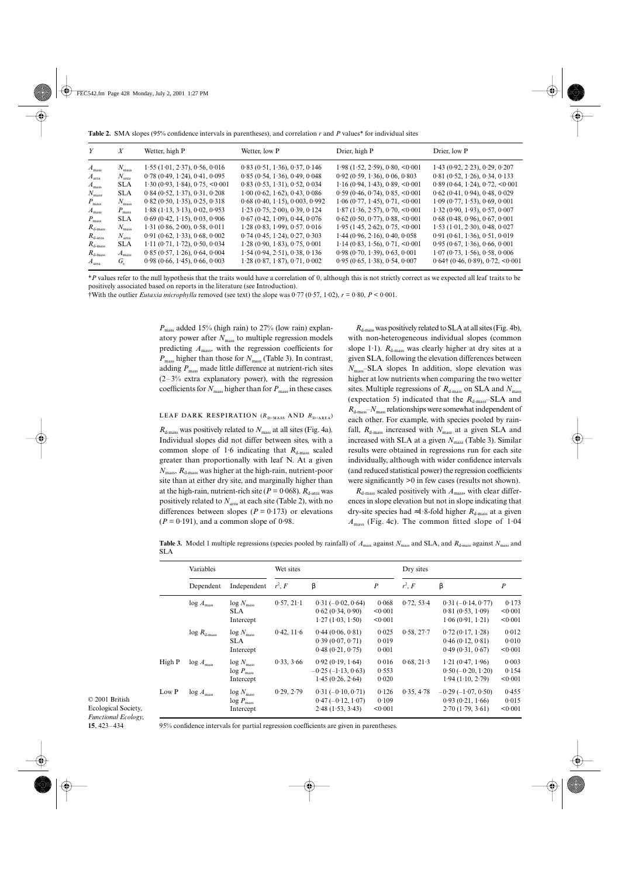**Table 2.** SMA slopes (95% confidence intervals in parentheses), and correlation *r* and *P* values\* for individual sites

| Y                   | X                 | Wetter, high P                               | Wetter, low P                     | Drier, high P                     | Drier, low P                              |
|---------------------|-------------------|----------------------------------------------|-----------------------------------|-----------------------------------|-------------------------------------------|
| $A_{\rm mass}$      | $N_{\rm mass}$    | 1.55(1.01, 2.37), 0.56, 0.016                | 0.83(0.51, 1.36), 0.37, 0.146     | $1.98$ (1.52, 2.59), 0.80, <0.001 | $1.43$ (0.92, 2.23), 0.29, 0.207          |
| $A_{\text{area}}$   | $N_{\text{area}}$ | $0.78$ (0.49, 1.24), 0.41, 0.095             | 0.85(0.54, 1.36), 0.49, 0.048     | 0.92(0.59, 1.36), 0.06, 0.803     | 0.81(0.52, 1.26), 0.34, 0.133             |
| $A_{\rm mass}$      | <b>SLA</b>        | 1.30(0.93, 1.84), 0.75, <0.001               | 0.83(0.53, 1.31), 0.52, 0.034     | 1.16(0.94, 1.43), 0.89, <0.001    | 0.89(0.64, 1.24), 0.72, <0.001            |
| $N_{\rm mass}$      | <b>SLA</b>        | $0.84$ (0.52, 1.37), 0.31, 0.208             | 1.00 (0.62, 1.62), 0.43, 0.086    | 0.59(0.46, 0.74), 0.85, <0.001    | $0.62$ (0.41, 0.94), 0.48, 0.029          |
| $P_{\text{mass}}$   | $N_{\rm mass}$    | $0.82$ (0.50, 1.35), 0.25, 0.318             | $0.68$ (0.40, 1.15), 0.003, 0.992 | 1.06(0.77, 1.45), 0.71, <0.001    | $1.09$ (0.77, 1.53), 0.69, 0.001          |
| $A_{\rm mass}$      | $P_{\text{mass}}$ | $1.88$ ( $1.13$ , $3.13$ ), $0.02$ , $0.953$ | $1.23$ (0.75, 2.00), 0.39, 0.124  | $1.87$ (1.36, 2.57), 0.70, <0.001 | 1.32(0.90, 1.93), 0.57, 0.007             |
| $P_{\text{mass}}$   | <b>SLA</b>        | $0.69$ (0.42, 1.15), 0.03, 0.906             | $0.67$ (0.42, 1.09), 0.44, 0.076  | $0.62$ (0.50, 0.77), 0.88, <0.001 | $0.68$ (0.48, 0.96), 0.67, 0.001          |
| $R_{\text{d-mass}}$ | $N_{\rm mass}$    | 1.31(0.86, 2.00), 0.58, 0.011                | 1.28(0.83, 1.99), 0.57(0.016)     | 1.95(1.45, 2.62), 0.75, <0.001    | $1.53$ $(1.01, 2.30), 0.48, 0.027$        |
| $R_{\rm d-area}$    | $N_{\text{area}}$ | 0.91(0.62, 1.33), 0.68, 0.002                | $0.74$ (0.45, 1.24), 0.27, 0.303  | 1.44(0.96, 2.16), 0.40, 0.058     | 0.91(0.61, 1.36), 0.51, 0.019             |
| $R_{\text{d-mass}}$ | <b>SLA</b>        | 1.11 (0.71, 1.72), 0.50, 0.034               | 1.28(0.90, 1.83), 0.75, 0.001     | 1.14(0.83, 1.56), 0.71, <0.001    | 0.95(0.67, 1.36), 0.66, 0.001             |
| $R_{\text{d-mass}}$ | $A_{\rm mass}$    | 0.85(0.57, 1.26), 0.64, 0.004                | 1.54(0.94, 2.51), 0.38, 0.136     | 0.98(0.70, 1.39), 0.63, 0.001     | 1.07(0.73, 1.56), 0.58, 0.006             |
| $A_{\rm area}$      | $G_{s}$           | 0.98(0.66, 1.45), 0.66, 0.003                | $1.28$ (0.87, 1.87), 0.71, 0.002  | 0.95(0.65, 1.38), 0.54, 0.007     | $0.64\uparrow (0.46, 0.89), 0.72, <0.001$ |

\**P* values refer to the null hypothesis that the traits would have a correlation of 0, although this is not strictly correct as we expected all leaf traits to be positively associated based on reports in the literature (see Introduction).

†With the outlier *Eutaxia microphylla* removed (see text) the slope was 0·77 (0·57, 1·02), *r* = 0·80, *P* < 0·001.

*P*mass added 15% (high rain) to 27% (low rain) explanatory power after  $N_{\text{mass}}$  to multiple regression models predicting *A*mass, with the regression coefficients for *P*<sub>mass</sub> higher than those for *N*<sub>mass</sub> (Table 3). In contrast, adding  $P_{\text{mass}}$  made little difference at nutrient-rich sites  $(2-3)$ % extra explanatory power), with the regression coefficients for  $N_{\text{mass}}$  higher than for  $P_{\text{mass}}$  in these cases.

## LEAF DARK RESPIRATION  $(R_{\text{D-MASS}}$  AND  $R_{\text{D-AREA}}$

 $R_{d\text{-mass}}$  was positively related to  $N_{\text{mass}}$  at all sites (Fig. 4a). Individual slopes did not differ between sites, with a common slope of 1.6 indicating that  $R_{d\text{-mass}}$  scaled greater than proportionally with leaf N. At a given  $N_{\text{mass}}$ ,  $R_{\text{d-mass}}$  was higher at the high-rain, nutrient-poor site than at either dry site, and marginally higher than at the high-rain, nutrient-rich site ( $P = 0.068$ ).  $R_{d\text{-area}}$  was positively related to  $N_{\text{area}}$  at each site (Table 2), with no differences between slopes  $(P = 0.173)$  or elevations  $(P = 0.191)$ , and a common slope of 0.98.

 $R_{\text{d-mass}}$  was positively related to SLA at all sites (Fig. 4b), with non-heterogeneous individual slopes (common slope 1.1).  $R_{d\text{-mass}}$  was clearly higher at dry sites at a given SLA, following the elevation differences between *N*mass–SLA slopes. In addition, slope elevation was higher at low nutrients when comparing the two wetter sites. Multiple regressions of  $R_{\text{d-mass}}$  on SLA and  $N_{\text{mass}}$ (expectation 5) indicated that the  $R_{d\text{-mass}}$ -SLA and  $R_{\text{d-mass}}-N_{\text{mass}}$  relationships were somewhat independent of each other. For example, with species pooled by rainfall,  $R_{d\text{-mass}}$  increased with  $N_{\text{mass}}$  at a given SLA and increased with SLA at a given  $N_{\text{mass}}$  (Table 3). Similar results were obtained in regressions run for each site individually, although with wider confidence intervals (and reduced statistical power) the regression coefficients were significantly >0 in few cases (results not shown).

 $R_{\text{d-mass}}$  scaled positively with  $A_{\text{mass}}$ , with clear differences in slope elevation but not in slope indicating that dry-site species had ≈1.8-fold higher  $R_{d{\text{-}mass}}}$  at a given  $A<sub>mass</sub>$  (Fig. 4c). The common fitted slope of 1.04

**Table 3.** Model 1 multiple regressions (species pooled by rainfall) of  $A_{\text{mass}}$  against  $N_{\text{mass}}$  and SLA, and  $R_{\text{d-mass}}$  against  $N_{\text{mass}}$  and SLA

|        | Variables                 |                        | Wet sites  |                              |                  | Dry sites  |                           |                  |
|--------|---------------------------|------------------------|------------|------------------------------|------------------|------------|---------------------------|------------------|
|        | Dependent                 | Independent            | $r^2$ , F  | β                            | $\boldsymbol{P}$ | $r^2$ , F  | β                         | $\boldsymbol{P}$ |
|        | $log A_{\text{mass}}$     | $log N_{\text{mass}}$  | 0.57, 21.1 | $0.31 (-0.02, 0.64)$         | 0.068            | 0.72, 53.4 | $0.31 (-0.14, 0.77)$      | 0.173            |
|        |                           | <b>SLA</b>             |            | 0.62(0.34, 0.90)             | < 0.001          |            | 0.81(0.53, 1.09)          | < 0.001          |
|        |                           | Intercept              |            | 1.27(1.03, 1.50)             | < 0.001          |            | 1.06(0.91, 1.21)          | < 0.001          |
|        | $log R$ <sub>d-mass</sub> | $\log N_{\rm mass}$    | 0.42, 11.6 | 0.44(0.06, 0.81)             | 0.025            | 0.58, 27.7 | 0.72(0.17, 1.28)          | 0.012            |
|        |                           | <b>SLA</b>             |            | 0.39(0.07, 0.71)             | 0.019            |            | 0.46(0.12, 0.81)          | 0.010            |
|        |                           | Intercept              |            | 0.48(0.21, 0.75)             | 0.001            |            | 0.49(0.31, 0.67)          | < 0.001          |
| High P | $log A_{\text{mass}}$     | $log N_{\text{mass}}$  | 0.33, 3.66 | 0.92(0.19, 1.64)             | 0.016            | 0.68, 21.3 | 1.21(0.47, 1.96)          | 0.003            |
|        |                           | $log P_{\text{mass}}$  |            | $-0.25$ ( $-1.13$ , $0.63$ ) | 0.553            |            | $0.50(-0.20, 1.20)$       | 0.154            |
|        |                           | Intercept              |            | 1.45(0.26, 2.64)             | 0.020            |            | 1.94(1.10, 2.79)          | < 0.001          |
| Low P  | $log A_{\text{mass}}$     | $\log N_{\text{mass}}$ | 0.29, 2.79 | $0.31(-0.10, 0.71)$          | 0.126            | 0.35, 4.78 | $-0.29$ ( $-1.07, 0.50$ ) | 0.455            |
|        |                           | $log P_{\text{mass}}$  |            | $0.47(-0.12, 1.07)$          | 0.109            |            | 0.93(0.21, 1.66)          | 0.015            |
|        |                           | Intercept              |            | 2.48(1.53, 3.43)             | < 0.001          |            | 2.70(1.79, 3.61)          | < 0.001          |

© 2001 British Ecological Society, *Functional Ecology*, **15**, 423–434

95% confidence intervals for partial regression coefficients are given in parentheses.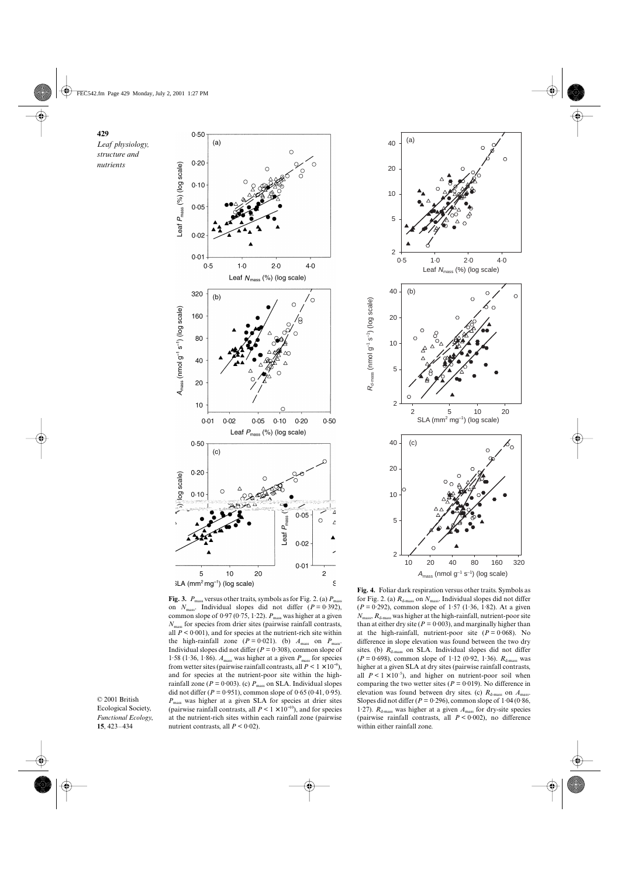

![](_page_6_Figure_2.jpeg)

**Fig. 3.**  $P_{\text{mass}}$  versus other traits, symbols as for Fig. 2. (a)  $P_{\text{mass}}$ on  $N_{\text{mass}}$ . Individual slopes did not differ  $(P = 0.392)$ , common slope of  $0.97 (0.75, 1.22)$ .  $P_{\text{mass}}$  was higher at a given *N*mass for species from drier sites (pairwise rainfall contrasts, all  $P < 0.001$ ), and for species at the nutrient-rich site within the high-rainfall zone  $(P = 0.021)$ . (b)  $A_{\text{mass}}$  on  $P_{\text{mass}}$ Individual slopes did not differ ( $P = 0.308$ ), common slope of 1.58 (1.36, 1.86).  $A_{\text{mass}}$  was higher at a given  $P_{\text{mass}}$  for species from wetter sites (pairwise rainfall contrasts, all  $P < 1 \times 10^{-9}$ ), and for species at the nutrient-poor site within the highrainfall zone ( $P = 0.003$ ). (c)  $P_{\text{mass}}$  on SLA. Individual slopes did not differ ( $P = 0.951$ ), common slope of  $0.65$  ( $0.41$ ,  $0.95$ ). *P*mass was higher at a given SLA for species at drier sites (pairwise rainfall contrasts, all  $P < 1 \times 10^{-10}$ ), and for species at the nutrient-rich sites within each rainfall zone (pairwise nutrient contrasts, all  $P < 0.02$ ).

© 2001 British Ecological Society, *Functional Ecology*, **15**, 423–434

for Fig. 2. (a)  $R_{d\text{-mass}}$  on  $N_{\text{mass}}$ . Individual slopes did not differ (*P* = 0·292), common slope of 1·57 (1·36, 1·82). At a given  $N_{\text{mass}}$ ,  $R_{\text{d-mass}}$  was higher at the high-rainfall, nutrient-poor site than at either dry site ( $P = 0.003$ ), and marginally higher than at the high-rainfall, nutrient-poor site  $(P = 0.068)$ . No difference in slope elevation was found between the two dry sites. (b)  $R_{\text{d-mass}}$  on SLA. Individual slopes did not differ  $(P = 0.698)$ , common slope of 1.12 (0.92, 1.36).  $R_{d\text{-mass}}$  was higher at a given SLA at dry sites (pairwise rainfall contrasts, all  $P < 1 \times 10^{-5}$ ), and higher on nutrient-poor soil when comparing the two wetter sites ( $P = 0.019$ ). No difference in elevation was found between dry sites. (c)  $R_{d\text{-mass}}$  on  $A_{\text{mass}}$ . Slopes did not differ ( $P = 0.296$ ), common slope of  $1.04$  ( $0.86$ , 1.27).  $R_{d\text{-mass}}$  was higher at a given  $A_{\text{mass}}$  for dry-site species (pairwise rainfall contrasts, all *P* < 0·002), no difference within either rainfall zone.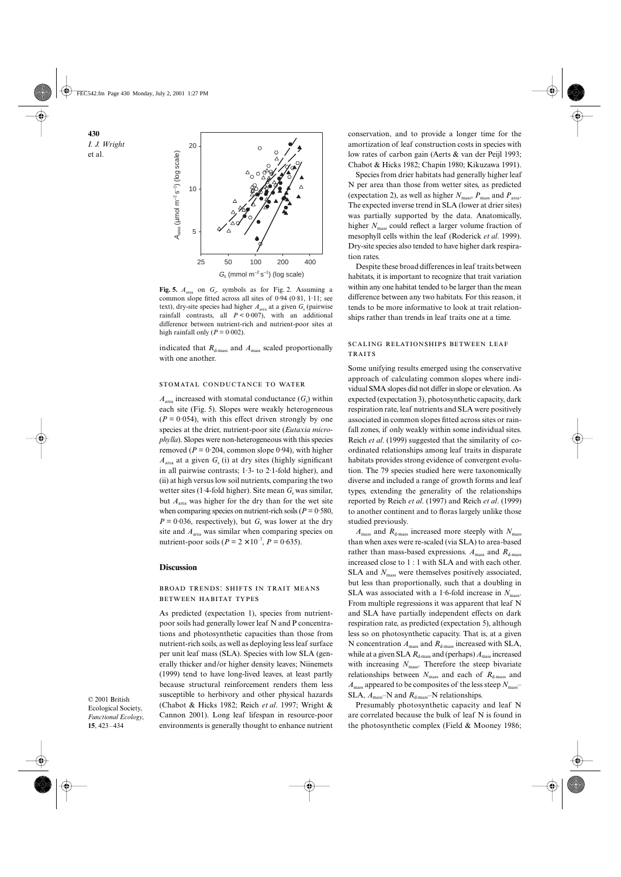**430** *I. J. Wright*  et al.

![](_page_7_Figure_1.jpeg)

Fig. 5.  $A_{area}$  on  $G_s$ , symbols as for Fig. 2. Assuming a common slope fitted across all sites of 0·94 (0·81, 1·11; see text), dry-site species had higher  $A_{area}$  at a given  $G_s$  (pairwise rainfall contrasts, all  $P < 0.007$ ), with an additional difference between nutrient-rich and nutrient-poor sites at high rainfall only  $(P = 0.002)$ .

indicated that  $R_{d\text{-mass}}$  and  $A_{\text{mass}}$  scaled proportionally with one another.

#### STOMATAL CONDUCTANCE TO WATER

 $A_{area}$  increased with stomatal conductance  $(G_s)$  within each site (Fig. 5). Slopes were weakly heterogeneous  $(P = 0.054)$ , with this effect driven strongly by one species at the drier, nutrient-poor site (*Eutaxia microphylla*). Slopes were non-heterogeneous with this species removed ( $P = 0.204$ , common slope 0.94), with higher  $A<sub>area</sub>$  at a given  $G<sub>s</sub>$  (i) at dry sites (highly significant in all pairwise contrasts;  $1.3$ - to  $2.1$ -fold higher), and (ii) at high versus low soil nutrients, comparing the two wetter sites (1.4-fold higher). Site mean  $G<sub>s</sub>$  was similar, but  $A_{\text{area}}$  was higher for the dry than for the wet site when comparing species on nutrient-rich soils ( $P = 0.580$ ,  $P = 0.036$ , respectively), but  $G<sub>s</sub>$  was lower at the dry site and  $A_{\text{area}}$  was similar when comparing species on nutrient-poor soils ( $P = 2 \times 10^{-7}$ ,  $P = 0.635$ ).

#### **Discussion**

#### BROAD TRENDS: SHIFTS IN TRAIT MEANS **BETWEEN HABITAT TYPES**

As predicted (expectation 1), species from nutrientpoor soils had generally lower leaf N and P concentrations and photosynthetic capacities than those from nutrient-rich soils, as well as deploying less leaf surface per unit leaf mass (SLA). Species with low SLA (generally thicker and/or higher density leaves; Niinemets (1999) tend to have long-lived leaves, at least partly because structural reinforcement renders them less susceptible to herbivory and other physical hazards (Chabot & Hicks 1982; Reich *et al*. 1997; Wright & Cannon 2001). Long leaf lifespan in resource-poor environments is generally thought to enhance nutrient

© 2001 British Ecological Society, *Functional Ecology*, **15**, 423–434

conservation, and to provide a longer time for the amortization of leaf construction costs in species with low rates of carbon gain (Aerts & van der Peijl 1993; Chabot & Hicks 1982; Chapin 1980; Kikuzawa 1991).

Species from drier habitats had generally higher leaf N per area than those from wetter sites, as predicted (expectation 2), as well as higher  $N_{\text{mass}}$ ,  $P_{\text{mass}}$  and  $P_{\text{area}}$ . The expected inverse trend in SLA (lower at drier sites) was partially supported by the data. Anatomically, higher *N*<sub>mass</sub> could reflect a larger volume fraction of mesophyll cells within the leaf (Roderick *et al*. 1999). Dry-site species also tended to have higher dark respiration rates.

Despite these broad differences in leaf traits between habitats, it is important to recognize that trait variation within any one habitat tended to be larger than the mean difference between any two habitats. For this reason, it tends to be more informative to look at trait relationships rather than trends in leaf traits one at a time.

## **SCALING RELATIONSHIPS BETWEEN LEAF TRAITS**

Some unifying results emerged using the conservative approach of calculating common slopes where individual SMA slopes did not differ in slope or elevation. As expected (expectation 3), photosynthetic capacity, dark respiration rate, leaf nutrients and SLA were positively associated in common slopes fitted across sites or rainfall zones, if only weakly within some individual sites. Reich *et al*. (1999) suggested that the similarity of coordinated relationships among leaf traits in disparate habitats provides strong evidence of convergent evolution. The 79 species studied here were taxonomically diverse and included a range of growth forms and leaf types, extending the generality of the relationships reported by Reich *et al*. (1997) and Reich *et al*. (1999) to another continent and to floras largely unlike those studied previously.

 $A_{\text{mass}}$  and  $R_{\text{d-mass}}$  increased more steeply with  $N_{\text{mass}}$ than when axes were re-scaled (via SLA) to area-based rather than mass-based expressions.  $A_{\text{mass}}$  and  $R_{\text{d-mass}}$ increased close to 1 : 1 with SLA and with each other. SLA and  $N_{\text{mass}}$  were themselves positively associated, but less than proportionally, such that a doubling in SLA was associated with a 1.6-fold increase in  $N_{\text{mass}}$ . From multiple regressions it was apparent that leaf N and SLA have partially independent effects on dark respiration rate, as predicted (expectation 5), although less so on photosynthetic capacity. That is, at a given N concentration  $A_{\text{mass}}$  and  $R_{\text{d-mass}}$  increased with SLA, while at a given SLA  $R_{d\text{-mass}}$  and (perhaps)  $A_{\text{mass}}$  increased with increasing  $N_{\text{mass}}$ . Therefore the steep bivariate relationships between  $N_{\text{mass}}$  and each of  $R_{\text{d-mass}}$  and  $A_{\text{mass}}$  appeared to be composites of the less steep  $N_{\text{mass}}$ SLA,  $A_{\text{mass}}$ -N and  $R_{\text{d-mass}}$ -N relationships.

Presumably photosynthetic capacity and leaf N are correlated because the bulk of leaf N is found in the photosynthetic complex (Field & Mooney 1986;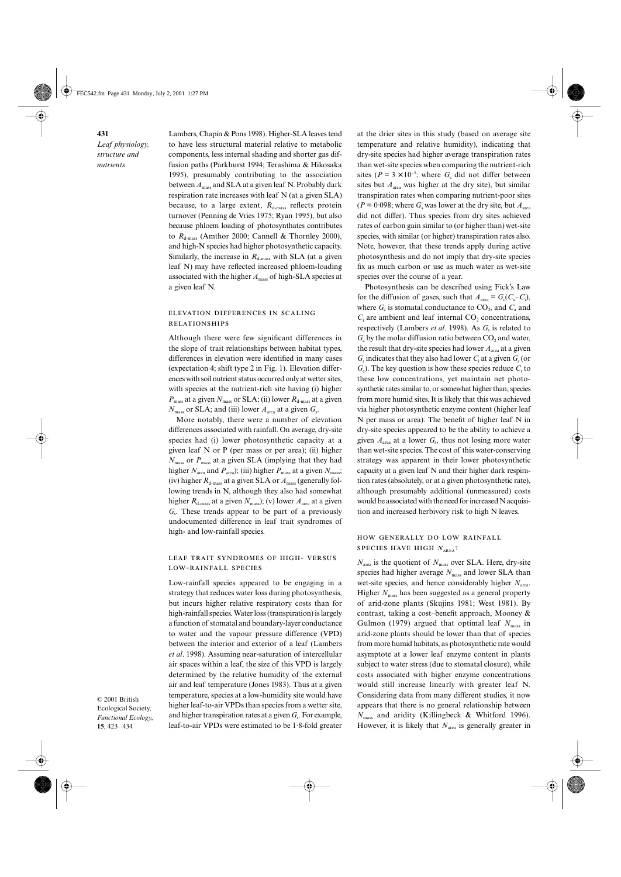Lambers, Chapin & Pons 1998). Higher-SLA leaves tend to have less structural material relative to metabolic components, less internal shading and shorter gas diffusion paths (Parkhurst 1994; Terashima & Hikosaka 1995), presumably contributing to the association between *A*mass and SLA at a given leaf N. Probably dark respiration rate increases with leaf N (at a given SLA) because, to a large extent,  $R_{d\text{-mass}}$  reflects protein turnover (Penning de Vries 1975; Ryan 1995), but also because phloem loading of photosynthates contributes to  $R_{d\text{-mass}}$  (Amthor 2000; Cannell & Thornley 2000), and high-N species had higher photosynthetic capacity. Similarly, the increase in  $R_{d\text{-mass}}$  with SLA (at a given leaf N) may have reflected increased phloem-loading associated with the higher *A*mass of high-SLA species at a given leaf N.

## ELEVATION DIFFERENCES IN SCALING **RELATIONSHIPS**

Although there were few significant differences in the slope of trait relationships between habitat types, differences in elevation were identified in many cases (expectation 4; shift type 2 in Fig. 1). Elevation differences with soil nutrient status occurred only at wetter sites, with species at the nutrient-rich site having (i) higher  $P_{\text{mass}}$  at a given  $N_{\text{mass}}$  or SLA; (ii) lower  $R_{\text{d-mass}}$  at a given  $N_{\text{mass}}$  or SLA; and (iii) lower  $A_{\text{area}}$  at a given  $G_s$ .

More notably, there were a number of elevation differences associated with rainfall. On average, dry-site species had (i) lower photosynthetic capacity at a given leaf N or P (per mass or per area); (ii) higher *N*mass or *P*mass at a given SLA (implying that they had higher  $N_{\text{area}}$  and  $P_{\text{area}}$ ; (iii) higher  $P_{\text{mass}}$  at a given  $N_{\text{mass}}$ ; (iv) higher  $R_{d\text{-mass}}$  at a given SLA or  $A_{\text{mass}}$  (generally following trends in N, although they also had somewhat higher  $R_{d\text{-mass}}$  at a given  $N_{\text{mass}}$ ; (v) lower  $A_{\text{area}}$  at a given *G<sub>s</sub>*. These trends appear to be part of a previously undocumented difference in leaf trait syndromes of high- and low-rainfall species.

## LEAF TRAIT SYNDROMES OF HIGH- VERSUS LOW-RAINFALL SPECIES

Low-rainfall species appeared to be engaging in a strategy that reduces water loss during photosynthesis, but incurs higher relative respiratory costs than for high-rainfall species. Water loss (transpiration) is largely a function of stomatal and boundary-layer conductance to water and the vapour pressure difference (VPD) between the interior and exterior of a leaf (Lambers *et al*. 1998). Assuming near-saturation of intercellular air spaces within a leaf, the size of this VPD is largely determined by the relative humidity of the external air and leaf temperature (Jones 1983). Thus at a given temperature, species at a low-humidity site would have higher leaf-to-air VPDs than species from a wetter site, and higher transpiration rates at a given  $G_s$ . For example, leaf-to-air VPDs were estimated to be 1·8-fold greater

© 2001 British Ecological Society, *Functional Ecology*, **15**, 423–434

at the drier sites in this study (based on average site temperature and relative humidity), indicating that dry-site species had higher average transpiration rates than wet-site species when comparing the nutrient-rich sites ( $P = 3 \times 10^{-5}$ ; where  $G_s$  did not differ between sites but  $A_{\text{area}}$  was higher at the dry site), but similar transpiration rates when comparing nutrient-poor sites  $(P = 0.098$ ; where  $G<sub>s</sub>$  was lower at the dry site, but  $A<sub>area</sub>$ did not differ). Thus species from dry sites achieved rates of carbon gain similar to (or higher than) wet-site species, with similar (or higher) transpiration rates also. Note, however, that these trends apply during active photosynthesis and do not imply that dry-site species fix as much carbon or use as much water as wet-site species over the course of a year.

Photosynthesis can be described using Fick's Law for the diffusion of gases, such that  $A_{area} = G_c(C_a - C_i)$ , where  $G_c$  is stomatal conductance to  $CO_2$ , and  $C_a$  and  $C_i$  are ambient and leaf internal  $CO_2$  concentrations, respectively (Lambers *et al.* 1998). As  $G_s$  is related to  $G<sub>c</sub>$  by the molar diffusion ratio between CO<sub>2</sub> and water, the result that dry-site species had lower  $A_{area}$  at a given  $G<sub>s</sub>$  indicates that they also had lower  $C<sub>i</sub>$  at a given  $G<sub>s</sub>$  (or  $G_c$ ). The key question is how these species reduce  $C_i$  to these low concentrations, yet maintain net photosynthetic rates similar to, or somewhat higher than, species from more humid sites. It is likely that this was achieved via higher photosynthetic enzyme content (higher leaf N per mass or area). The benefit of higher leaf N in dry-site species appeared to be the ability to achieve a given  $A_{area}$  at a lower  $G_s$ , thus not losing more water than wet-site species. The cost of this water-conserving strategy was apparent in their lower photosynthetic capacity at a given leaf N and their higher dark respiration rates (absolutely, or at a given photosynthetic rate), although presumably additional (unmeasured) costs would be associated with the need for increased N acquisition and increased herbivory risk to high N leaves.

## HOW GENERALLY DO LOW RAINFALL **SPECIES HAVE HIGH**  $N_{\text{APFA}}$ **?**

*N*area is the quotient of *N*mass over SLA. Here, dry-site species had higher average  $N_{\text{mass}}$  and lower SLA than wet-site species, and hence considerably higher *N*<sub>area</sub>. Higher  $N_{\text{mass}}$  has been suggested as a general property of arid-zone plants (Skujins 1981; West 1981). By contrast, taking a cost–benefit approach, Mooney & Gulmon (1979) argued that optimal leaf  $N_{\text{mass}}$  in arid-zone plants should be lower than that of species from more humid habitats, as photosynthetic rate would asymptote at a lower leaf enzyme content in plants subject to water stress (due to stomatal closure), while costs associated with higher enzyme concentrations would still increase linearly with greater leaf N. Considering data from many different studies, it now appears that there is no general relationship between *N*mass and aridity (Killingbeck & Whitford 1996). However, it is likely that  $N<sub>area</sub>$  is generally greater in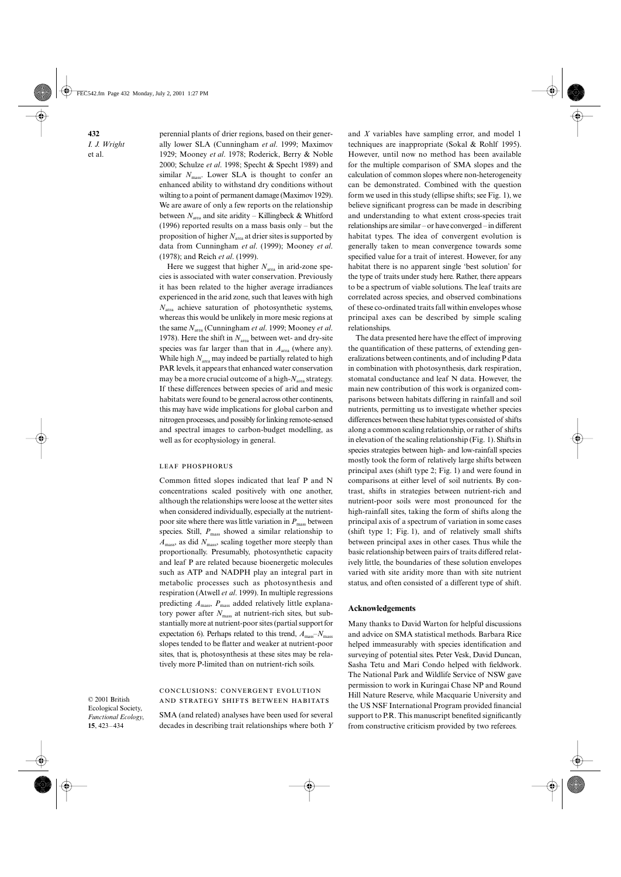**432** *I. J. Wright*  et al.

perennial plants of drier regions, based on their generally lower SLA (Cunningham *et al*. 1999; Maximov 1929; Mooney *et al*. 1978; Roderick, Berry & Noble 2000; Schulze *et al*. 1998; Specht & Specht 1989) and similar  $N_{\text{mass}}$ . Lower SLA is thought to confer an enhanced ability to withstand dry conditions without wilting to a point of permanent damage (Maximov 1929). We are aware of only a few reports on the relationship between  $N_{\text{area}}$  and site aridity – Killingbeck & Whitford (1996) reported results on a mass basis only – but the proposition of higher  $N<sub>area</sub>$  at drier sites is supported by data from Cunningham *et al*. (1999); Mooney *et al*. (1978); and Reich *et al*. (1999).

Here we suggest that higher  $N<sub>area</sub>$  in arid-zone species is associated with water conservation. Previously it has been related to the higher average irradiances experienced in the arid zone, such that leaves with high *N*area achieve saturation of photosynthetic systems, whereas this would be unlikely in more mesic regions at the same *N*area (Cunningham *et al*. 1999; Mooney *et al*. 1978). Here the shift in  $N<sub>area</sub>$  between wet- and dry-site species was far larger than that in  $A<sub>area</sub>$  (where any). While high  $N_{\text{area}}$  may indeed be partially related to high PAR levels, it appears that enhanced water conservation may be a more crucial outcome of a high- $N<sub>area</sub>$  strategy. If these differences between species of arid and mesic habitats were found to be general across other continents, this may have wide implications for global carbon and nitrogen processes, and possibly for linking remote-sensed and spectral images to carbon-budget modelling, as well as for ecophysiology in general.

#### **LEAF PHOSPHORUS**

Common fitted slopes indicated that leaf P and N concentrations scaled positively with one another, although the relationships were loose at the wetter sites when considered individually, especially at the nutrientpoor site where there was little variation in  $P_{\text{mass}}$  between species. Still,  $P_{\text{mass}}$  showed a similar relationship to *A*mass, as did *N*mass, scaling together more steeply than proportionally. Presumably, photosynthetic capacity and leaf P are related because bioenergetic molecules such as ATP and NADPH play an integral part in metabolic processes such as photosynthesis and respiration (Atwell *et al*. 1999). In multiple regressions predicting  $A_{\text{mass}}$ ,  $P_{\text{mass}}$  added relatively little explanatory power after  $N_{\text{mass}}$  at nutrient-rich sites, but substantially more at nutrient-poor sites (partial support for expectation 6). Perhaps related to this trend,  $A_{\text{mass}}$ – $N_{\text{mass}}$ slopes tended to be flatter and weaker at nutrient-poor sites, that is, photosynthesis at these sites may be relatively more P-limited than on nutrient-rich soils.

© 2001 British Ecological Society, *Functional Ecology*, **15**, 423–434

## CONCLUSIONS: CONVERGENT EVOLUTION AND STRATEGY SHIFTS BETWEEN HABITATS

SMA (and related) analyses have been used for several decades in describing trait relationships where both *Y*

and *X* variables have sampling error, and model 1 techniques are inappropriate (Sokal & Rohlf 1995). However, until now no method has been available for the multiple comparison of SMA slopes and the calculation of common slopes where non-heterogeneity can be demonstrated. Combined with the question form we used in this study (ellipse shifts; see Fig. 1), we believe significant progress can be made in describing and understanding to what extent cross-species trait relationships are similar – or have converged – in different habitat types. The idea of convergent evolution is generally taken to mean convergence towards some specified value for a trait of interest. However, for any habitat there is no apparent single 'best solution' for the type of traits under study here. Rather, there appears to be a spectrum of viable solutions. The leaf traits are correlated across species, and observed combinations of these co-ordinated traits fall within envelopes whose principal axes can be described by simple scaling relationships.

The data presented here have the effect of improving the quantification of these patterns, of extending generalizations between continents, and of including P data in combination with photosynthesis, dark respiration, stomatal conductance and leaf N data. However, the main new contribution of this work is organized comparisons between habitats differing in rainfall and soil nutrients, permitting us to investigate whether species differences between these habitat types consisted of shifts along a common scaling relationship, or rather of shifts in elevation of the scaling relationship (Fig. 1). Shifts in species strategies between high- and low-rainfall species mostly took the form of relatively large shifts between principal axes (shift type 2; Fig. 1) and were found in comparisons at either level of soil nutrients. By contrast, shifts in strategies between nutrient-rich and nutrient-poor soils were most pronounced for the high-rainfall sites, taking the form of shifts along the principal axis of a spectrum of variation in some cases (shift type 1; Fig. 1), and of relatively small shifts between principal axes in other cases. Thus while the basic relationship between pairs of traits differed relatively little, the boundaries of these solution envelopes varied with site aridity more than with site nutrient status, and often consisted of a different type of shift.

#### **Acknowledgements**

Many thanks to David Warton for helpful discussions and advice on SMA statistical methods. Barbara Rice helped immeasurably with species identification and surveying of potential sites. Peter Vesk, David Duncan, Sasha Tetu and Mari Condo helped with fieldwork. The National Park and Wildlife Service of NSW gave permission to work in Kuringai Chase NP and Round Hill Nature Reserve, while Macquarie University and the US NSF International Program provided financial support to P.R. This manuscript benefited significantly from constructive criticism provided by two referees.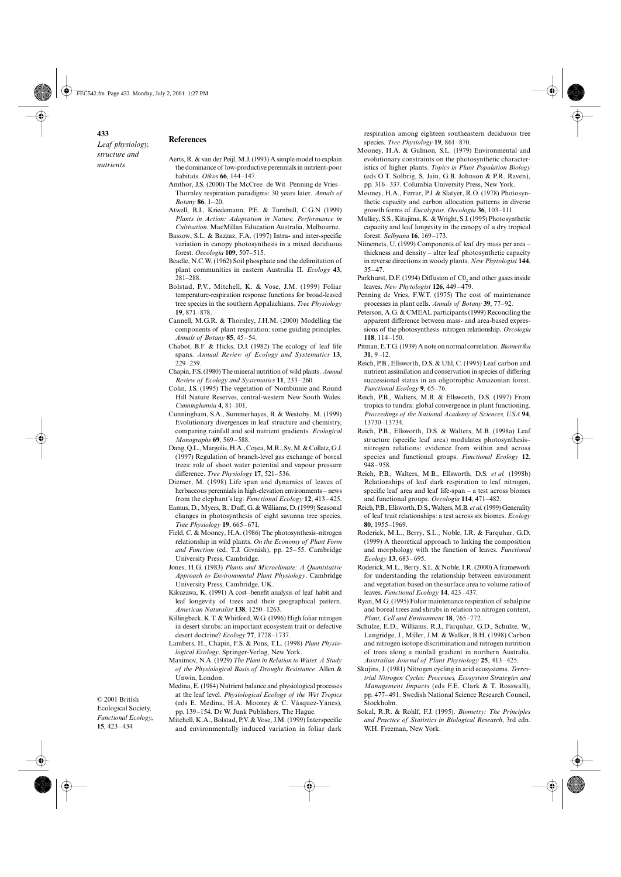- **References**
	- Aerts, R. & van der Peijl, M.J. (1993) A simple model to explain the dominance of low-productive perennials in nutrient-poor habitats. *Oikos* **66**, 144–147.
	- Amthor, J.S. (2000) The McCree–de Wit–Penning de Vries– Thornley respiration paradigms: 30 years later. *Annals of Botany* **86**, 1–20.
	- Atwell, B.J., Kriedemann, P.E. & Turnbull, C.G.N (1999) *Plants in Action: Adaptation in Nature, Performance in Cultivation*. MacMillan Education Australia, Melbourne.
	- Bassow, S.L. & Bazzaz, F.A. (1997) Intra- and inter-specific variation in canopy photosynthesis in a mixed deciduous forest. *Oecologia* **109**, 507–515.
	- Beadle, N.C.W. (1962) Soil phosphate and the delimitation of plant communities in eastern Australia II. *Ecology* **43**, 281–288.
	- Bolstad, P.V., Mitchell, K. & Vose, J.M. (1999) Foliar temperature-respiration response functions for broad-leaved tree species in the southern Appalachians. *Tree Physiology* **19**, 871–878.
	- Cannell, M.G.R. & Thornley, J.H.M. (2000) Modelling the components of plant respiration: some guiding principles. *Annals of Botany* **85**, 45–54.
	- Chabot, B.F. & Hicks, D.J. (1982) The ecology of leaf life spans. *Annual Review of Ecology and Systematics* **13**, 229–259.
	- Chapin, F.S. (1980) The mineral nutrition of wild plants. *Annual Review of Ecology and Systematics* **11**, 233–260.
	- Cohn, J.S. (1995) The vegetation of Nombinnie and Round Hill Nature Reserves, central-western New South Wales. *Cunninghamia* **4**, 81–101.
	- Cunningham, S.A., Summerhayes, B. & Westoby, M. (1999) Evolutionary divergences in leaf structure and chemistry, comparing rainfall and soil nutrient gradients. *Ecological Monographs* **69**, 569–588.
	- Dang, Q.L., Margolis, H.A., Coyea, M.R., Sy, M. & Collatz, G.J. (1997) Regulation of branch-level gas exchange of boreal trees: role of shoot water potential and vapour pressure difference. *Tree Physiology* **17**, 521–536.
	- Diemer, M. (1998) Life span and dynamics of leaves of herbaceous perennials in high-elevation environments – news from the elephant's leg. *Functional Ecology* **12**, 413–425.
	- Eamus, D., Myers, B., Duff, G. & Williams, D. (1999) Seasonal changes in photosynthesis of eight savanna tree species. *Tree Physiology* **19**, 665–671.
	- Field, C. & Mooney, H.A. (1986) The photosynthesis–nitrogen relationship in wild plants. *On the Economy of Plant Form and Function* (ed. T.J. Givnish), pp. 25–55. Cambridge University Press, Cambridge.
	- Jones, H.G. (1983) *Plants and Microclimate: A Quantitative Approach to Environmental Plant Physiology*. Cambridge University Press, Cambridge, UK.
	- Kikuzawa, K. (1991) A cost–benefit analysis of leaf habit and leaf longevity of trees and their geographical pattern. *American Naturalist* **138**, 1250–1263.
	- Killingbeck, K.T. & Whitford, W.G. (1996) High foliar nitrogen in desert shrubs: an important ecosystem trait or defective desert doctrine? *Ecology* **77**, 1728–1737.
	- Lambers, H., Chapin, F.S. & Pons, T.L. (1998) *Plant Physiological Ecology*. Springer-Verlag, New York.
	- Maximov, N.A. (1929) *The Plant in Relation to Water. A Study of the Physiological Basis of Drought Resistance*. Allen & Unwin, London.
	- Medina, E. (1984) Nutrient balance and physiological processes at the leaf level. *Physiological Ecology of the Wet Tropics* (eds E. Medina, H.A. Mooney & C. Vásquez-Yánes),

pp. 139–154. Dr W. Junk Publishers, The Hague.

*Functional Ecology*, **15**, 423–434

© 2001 British Ecological Society,

> Mitchell, K.A., Bolstad, P.V. & Vose, J.M. (1999) Interspecific and environmentally induced variation in foliar dark

respiration among eighteen southeastern deciduous tree species. *Tree Physiology* **19**, 861–870.

- Mooney, H.A. & Gulmon, S.L. (1979) Environmental and evolutionary constraints on the photosynthetic characteristics of higher plants. *Topics in Plant Population Biology* (eds O.T. Solbrig, S. Jain, G.B. Johnson & P.R. Raven), pp. 316–337. Columbia University Press, New York.
- Mooney, H.A., Ferrar, P.J. & Slatyer, R.O. (1978) Photosynthetic capacity and carbon allocation patterns in diverse growth forms of *Eucalyptus*. *Oecologia* **36**, 103–111.
- Mulkey, S.S., Kitajima, K. & Wright, S.J. (1995) Photosynthetic capacity and leaf longevity in the canopy of a dry tropical forest. *Selbyana* **16**, 169–173.
- Niinemets, U. (1999) Components of leaf dry mass per area thickness and density – alter leaf photosynthetic capacity in reverse directions in woody plants. *New Phytologist* **144**, 35–47.
- Parkhurst, D.F. (1994) Diffusion of  $C_0$  and other gases inside leaves. *New Phytologist* **126**, 449–479.
- Penning de Vries, F.W.T. (1975) The cost of maintenance processes in plant cells. *Annals of Botany* **39**, 77–92.
- Peterson, A.G. & CMEAL participants (1999) Reconciling the apparent difference between mass- and area-based expressions of the photosynthesis–nitrogen relationship. *Oecologia* **118**, 114–150.
- Pitman, E.T.G. (1939) A note on normal correlation. *Biometrika* **31**, 9–12.
- Reich, P.B., Ellsworth, D.S. & Uhl, C. (1995) Leaf carbon and nutrient assimilation and conservation in species of differing successional status in an oligotrophic Amazonian forest. *Functional Ecology* **9**, 65–76.
- Reich, P.B., Walters, M.B. & Ellsworth, D.S. (1997) From tropics to tundra: global convergence in plant functioning. *Proceedings of the National Academy of Sciences, USA* **94**, 13730–13734.
- Reich, P.B., Ellsworth, D.S. & Walters, M.B. (1998a) Leaf structure (specific leaf area) modulates photosynthesis– nitrogen relations: evidence from within and across species and functional groups. *Functional Ecology* **12**, 948–958.
- Reich, P.B., Walters, M.B., Ellsworth, D.S. *et al.* (1998b) Relationships of leaf dark respiration to leaf nitrogen, specific leaf area and leaf life-span – a test across biomes and functional groups. *Oecologia* **114**, 471–482.
- Reich, P.B., Ellsworth, D.S., Walters, M.B. *et al.* (1999) Generality of leaf trait relationships: a test across six biomes. *Ecology* **80**, 1955–1969.
- Roderick, M.L., Berry, S.L., Noble, I.R. & Farquhar, G.D. (1999) A theoretical approach to linking the composition and morphology with the function of leaves. *Functional Ecology* **13**, 683–695.
- Roderick, M.L., Berry, S.L. & Noble, I.R. (2000) A framework for understanding the relationship between environment and vegetation based on the surface area to volume ratio of leaves. *Functional Ecology* **14**, 423–437.
- Ryan, M.G. (1995) Foliar maintenance respiration of subalpine and boreal trees and shrubs in relation to nitrogen content. *Plant, Cell and Environment* **18**, 765–772.
- Schulze, E.D., Williams, R.J., Farquhar, G.D., Schulze, W., Langridge, J., Miller, J.M. & Walker, B.H. (1998) Carbon and nitrogen isotope discrimination and nitrogen nutrition of trees along a rainfall gradient in northern Australia. *Australian Journal of Plant Physiology* **25**, 413–425.
- Skujins, J. (1981) Nitrogen cycling in arid ecosystems. *Terrestrial Nitrogen Cycles: Processes, Ecosystem Strategies and Management Impacts* (eds F.E. Clark & T. Rosswall), pp. 477–491. Swedish National Science Research Council, Stockholm.
- Sokal, R.R. & Rohlf, F.J. (1995). *Biometry: The Principles and Practice of Statistics in Biological Research*, 3rd edn. W.H. Freeman, New York.